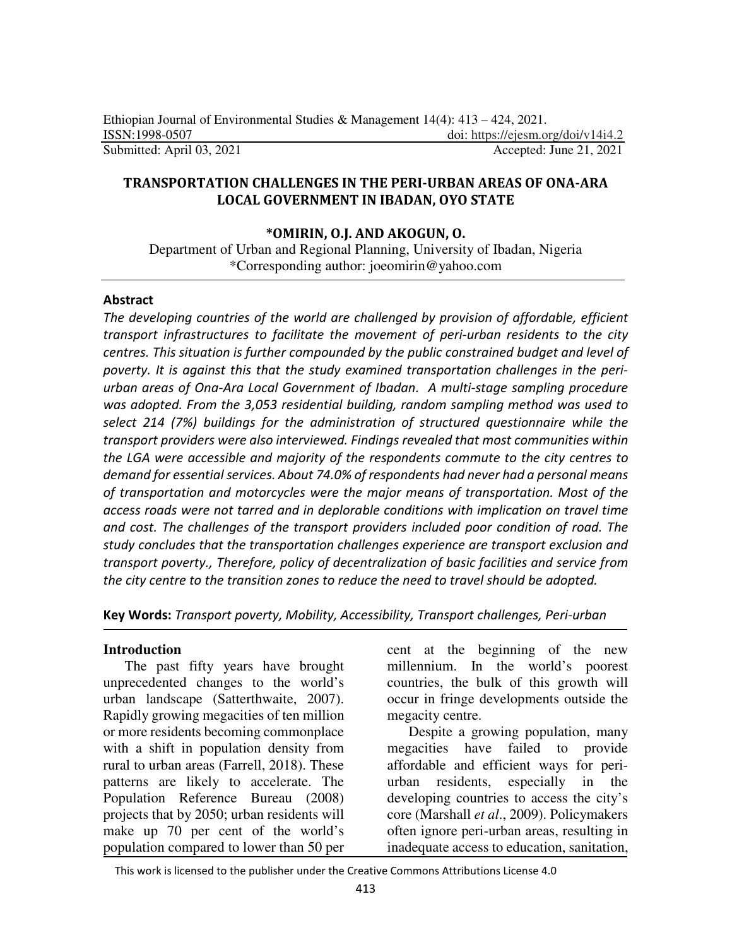### **TRANSPORTATION CHALLENGES IN THE PERI-URBAN AREAS OF ONA-ARA LOCAL GOVERNMENT IN IBADAN, OYO STATE**

### **\*OMIRIN, O.J. AND AKOGUN, O.**

Department of Urban and Regional Planning, University of Ibadan, Nigeria \*Corresponding author: joeomirin@yahoo.com

#### **Abstract**

*The developing countries of the world are challenged by provision of affordable, efficient transport infrastructures to facilitate the movement of peri-urban residents to the city centres. This situation is further compounded by the public constrained budget and level of poverty. It is against this that the study examined transportation challenges in the periurban areas of Ona-Ara Local Government of Ibadan. A multi-stage sampling procedure was adopted. From the 3,053 residential building, random sampling method was used to select 214 (7%) buildings for the administration of structured questionnaire while the transport providers were also interviewed. Findings revealed that most communities within the LGA were accessible and majority of the respondents commute to the city centres to demand for essential services. About 74.0% of respondents had never had a personal means of transportation and motorcycles were the major means of transportation. Most of the access roads were not tarred and in deplorable conditions with implication on travel time and cost. The challenges of the transport providers included poor condition of road. The study concludes that the transportation challenges experience are transport exclusion and transport poverty., Therefore, policy of decentralization of basic facilities and service from the city centre to the transition zones to reduce the need to travel should be adopted.* 

#### **Key Words:** *Transport poverty, Mobility, Accessibility, Transport challenges, Peri-urban*

#### **Introduction**

The past fifty years have brought unprecedented changes to the world's urban landscape (Satterthwaite, 2007). Rapidly growing megacities of ten million or more residents becoming commonplace with a shift in population density from rural to urban areas (Farrell, 2018). These patterns are likely to accelerate. The Population Reference Bureau (2008) projects that by 2050; urban residents will make up 70 per cent of the world's population compared to lower than 50 per

cent at the beginning of the new millennium. In the world's poorest countries, the bulk of this growth will occur in fringe developments outside the megacity centre.

Despite a growing population, many megacities have failed to provide affordable and efficient ways for periurban residents, especially in the developing countries to access the city's core (Marshall *et al*., 2009). Policymakers often ignore peri-urban areas, resulting in inadequate access to education, sanitation,

This work is licensed to the publisher under the Creative Commons Attributions License 4.0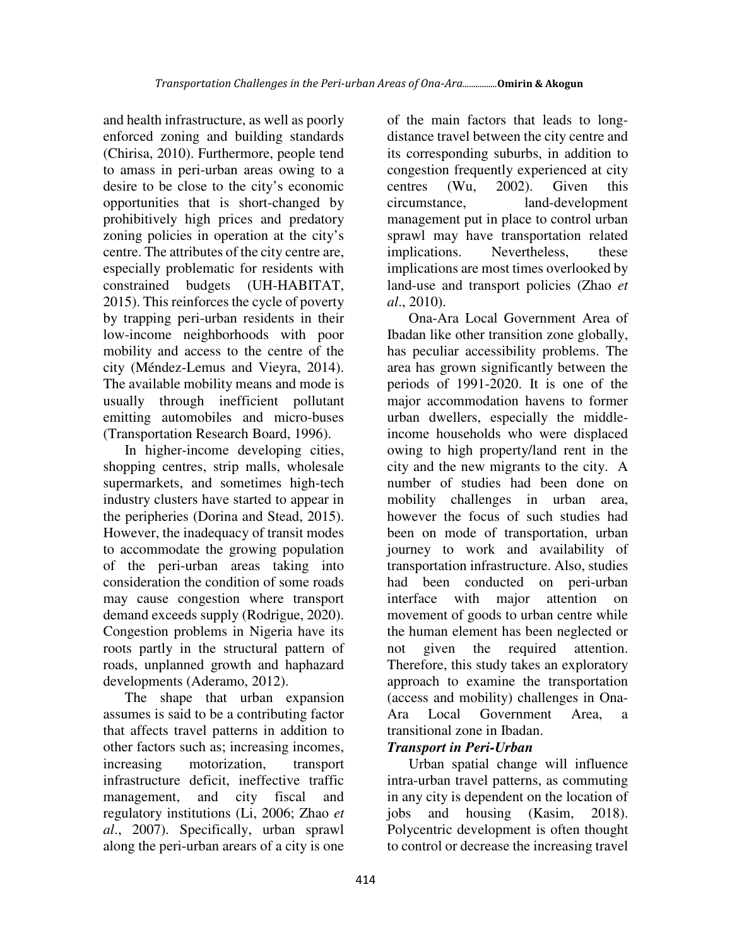and health infrastructure, as well as poorly enforced zoning and building standards (Chirisa, 2010). Furthermore, people tend to amass in peri-urban areas owing to a desire to be close to the city's economic opportunities that is short-changed by prohibitively high prices and predatory zoning policies in operation at the city's centre. The attributes of the city centre are, especially problematic for residents with constrained budgets (UH-HABITAT, 2015). This reinforces the cycle of poverty by trapping peri-urban residents in their low-income neighborhoods with poor mobility and access to the centre of the city (Méndez-Lemus and Vieyra, 2014). The available mobility means and mode is usually through inefficient pollutant emitting automobiles and micro-buses (Transportation Research Board, 1996).

In higher-income developing cities, shopping centres, strip malls, wholesale supermarkets, and sometimes high-tech industry clusters have started to appear in the peripheries (Dorina and Stead, 2015). However, the inadequacy of transit modes to accommodate the growing population of the peri-urban areas taking into consideration the condition of some roads may cause congestion where transport demand exceeds supply (Rodrigue, 2020). Congestion problems in Nigeria have its roots partly in the structural pattern of roads, unplanned growth and haphazard developments (Aderamo, 2012).

The shape that urban expansion assumes is said to be a contributing factor that affects travel patterns in addition to other factors such as; increasing incomes, increasing motorization, transport infrastructure deficit, ineffective traffic management, and city fiscal and regulatory institutions (Li, 2006; Zhao *et al*., 2007). Specifically, urban sprawl along the peri-urban arears of a city is one

of the main factors that leads to longdistance travel between the city centre and its corresponding suburbs, in addition to congestion frequently experienced at city centres (Wu, 2002). Given this circumstance, land-development management put in place to control urban sprawl may have transportation related implications. Nevertheless, these implications are most times overlooked by land-use and transport policies (Zhao *et al*., 2010).

Ona-Ara Local Government Area of Ibadan like other transition zone globally, has peculiar accessibility problems. The area has grown significantly between the periods of 1991-2020. It is one of the major accommodation havens to former urban dwellers, especially the middleincome households who were displaced owing to high property/land rent in the city and the new migrants to the city. A number of studies had been done on mobility challenges in urban area, however the focus of such studies had been on mode of transportation, urban journey to work and availability of transportation infrastructure. Also, studies had been conducted on peri-urban interface with major attention on movement of goods to urban centre while the human element has been neglected or not given the required attention. Therefore, this study takes an exploratory approach to examine the transportation (access and mobility) challenges in Ona-Ara Local Government Area, a transitional zone in Ibadan.

# *Transport in Peri-Urban*

Urban spatial change will influence intra-urban travel patterns, as commuting in any city is dependent on the location of jobs and housing (Kasim, 2018). Polycentric development is often thought to control or decrease the increasing travel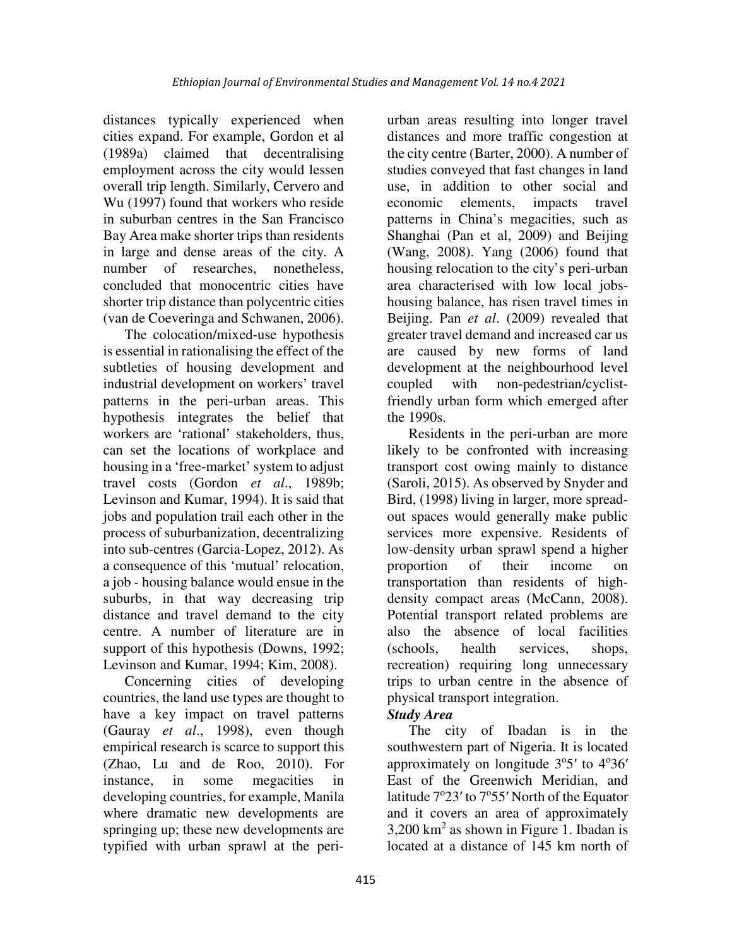distances typically experienced when cities expand. For example, Gordon et al (1989a) claimed that decentralising employment across the city would lessen overall trip length. Similarly, Cervero and Wu (1997) found that workers who reside in suburban centres in the San Francisco Bay Area make shorter trips than residents in large and dense areas of the city. A number of researches, nonetheless, concluded that monocentric cities have shorter trip distance than polycentric cities (van de Coeveringa and Schwanen, 2006).

The colocation/mixed-use hypothesis is essential in rationalising the effect of the subtleties of housing development and industrial development on workers' travel patterns in the peri-urban areas. This hypothesis integrates the belief that workers are 'rational' stakeholders, thus, can set the locations of workplace and housing in a 'free-market' system to adjust travel costs (Gordon *et al*., 1989b; Levinson and Kumar, 1994). It is said that jobs and population trail each other in the process of suburbanization, decentralizing into sub-centres (Garcia-Lopez, 2012). As a consequence of this 'mutual' relocation, a job - housing balance would ensue in the suburbs, in that way decreasing trip distance and travel demand to the city centre. A number of literature are in support of this hypothesis (Downs, 1992; Levinson and Kumar, 1994; Kim, 2008).

Concerning cities of developing countries, the land use types are thought to have a key impact on travel patterns (Gauray *et al*., 1998), even though empirical research is scarce to support this (Zhao, Lu and de Roo, 2010). For instance, in some megacities developing countries, for example, Manila where dramatic new developments are springing up; these new developments are typified with urban sprawl at the periurban areas resulting into longer travel distances and more traffic congestion at the city centre (Barter, 2000). A number of studies conveyed that fast changes in land use, in addition to other social and economic elements, impacts travel patterns in China's megacities, such as Shanghai (Pan et al, 2009) and Beijing (Wang, 2008). Yang (2006) found that housing relocation to the city's peri-urban area characterised with low local jobshousing balance, has risen travel times in Beijing. Pan *et al*. (2009) revealed that greater travel demand and increased car us are caused by new forms of land development at the neighbourhood level coupled with non-pedestrian/cyclistfriendly urban form which emerged after the 1990s.

Residents in the peri-urban are more likely to be confronted with increasing transport cost owing mainly to distance (Saroli, 2015). As observed by Snyder and Bird, (1998) living in larger, more spreadout spaces would generally make public services more expensive. Residents of low-density urban sprawl spend a higher proportion of their income on transportation than residents of highdensity compact areas (McCann, 2008). Potential transport related problems are also the absence of local facilities (schools, health services, shops, recreation) requiring long unnecessary trips to urban centre in the absence of physical transport integration.

# *Study Area*

The city of Ibadan is in the southwestern part of Nigeria. It is located approximately on longitude  $3^{\circ}5'$  to  $4^{\circ}36'$ East of the Greenwich Meridian, and latitude  $7^{\circ}23'$  to  $7^{\circ}55'$  North of the Equator and it covers an area of approximately  $3,200$  km<sup>2</sup> as shown in Figure 1. Ibadan is located at a distance of 145 km north of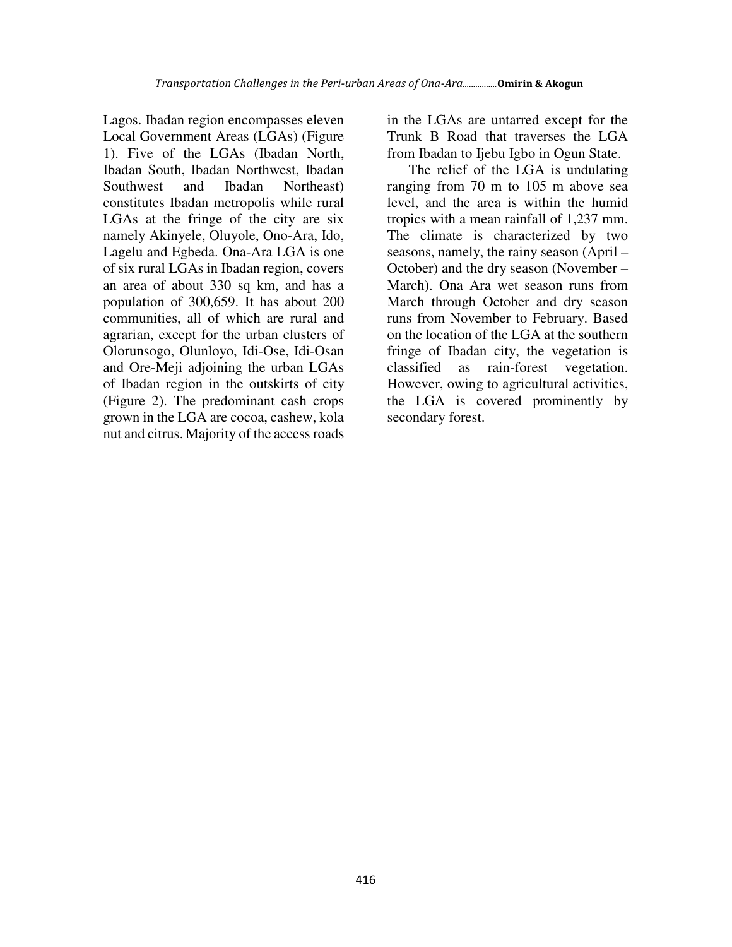Lagos. Ibadan region encompasses eleven Local Government Areas (LGAs) (Figure 1). Five of the LGAs (Ibadan North, Ibadan South, Ibadan Northwest, Ibadan Southwest and Ibadan Northeast) constitutes Ibadan metropolis while rural LGAs at the fringe of the city are six namely Akinyele, Oluyole, Ono-Ara, Ido, Lagelu and Egbeda. Ona-Ara LGA is one of six rural LGAs in Ibadan region, covers an area of about 330 sq km, and has a population of 300,659. It has about 200 communities, all of which are rural and agrarian, except for the urban clusters of Olorunsogo, Olunloyo, Idi-Ose, Idi-Osan and Ore-Meji adjoining the urban LGAs of Ibadan region in the outskirts of city (Figure 2). The predominant cash crops grown in the LGA are cocoa, cashew, kola nut and citrus. Majority of the access roads

in the LGAs are untarred except for the Trunk B Road that traverses the LGA from Ibadan to Ijebu Igbo in Ogun State.

The relief of the LGA is undulating ranging from 70 m to 105 m above sea level, and the area is within the humid tropics with a mean rainfall of 1,237 mm. The climate is characterized by two seasons, namely, the rainy season (April – October) and the dry season (November – March). Ona Ara wet season runs from March through October and dry season runs from November to February. Based on the location of the LGA at the southern fringe of Ibadan city, the vegetation is classified as rain-forest vegetation. However, owing to agricultural activities, the LGA is covered prominently by secondary forest.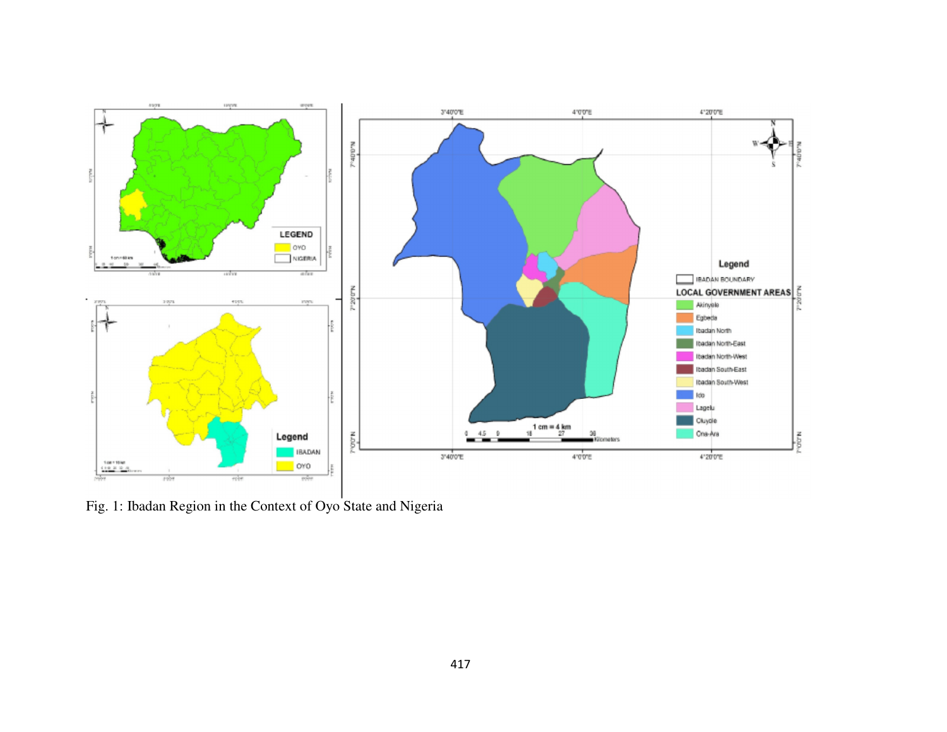

Fig. 1: Ibadan Region in the Context of Oyo State and Nigeria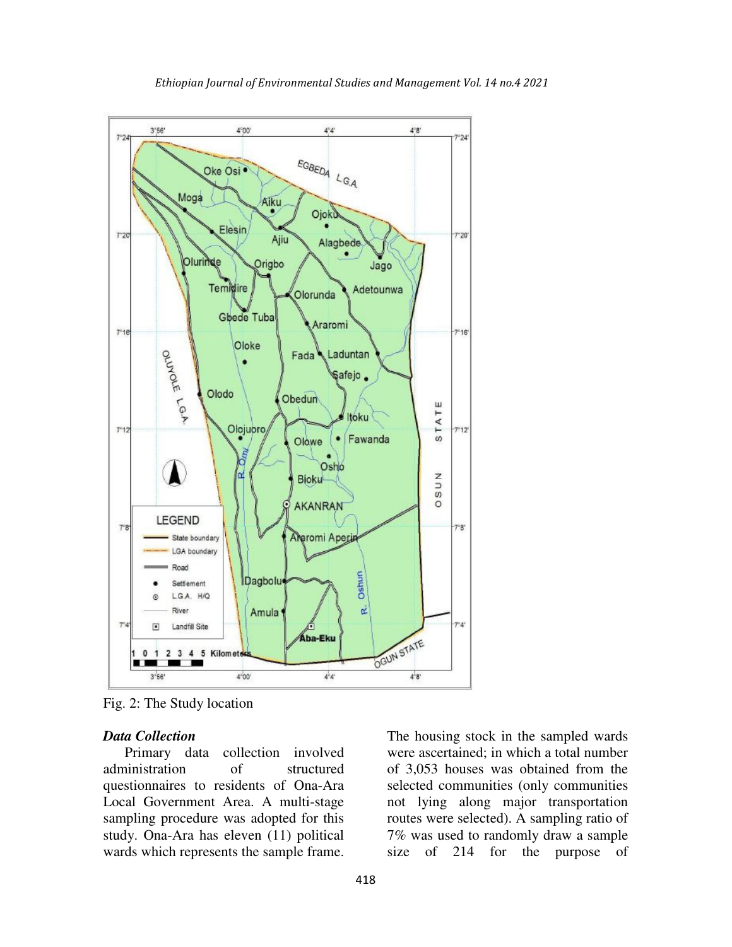

Fig. 2: The Study location

#### *Data Collection*

Primary data collection involved administration of structured questionnaires to residents of Ona-Ara Local Government Area. A multi-stage sampling procedure was adopted for this study. Ona-Ara has eleven (11) political wards which represents the sample frame.

The housing stock in the sampled wards were ascertained; in which a total number of 3,053 houses was obtained from the selected communities (only communities not lying along major transportation routes were selected). A sampling ratio of 7% was used to randomly draw a sample size of 214 for the purpose of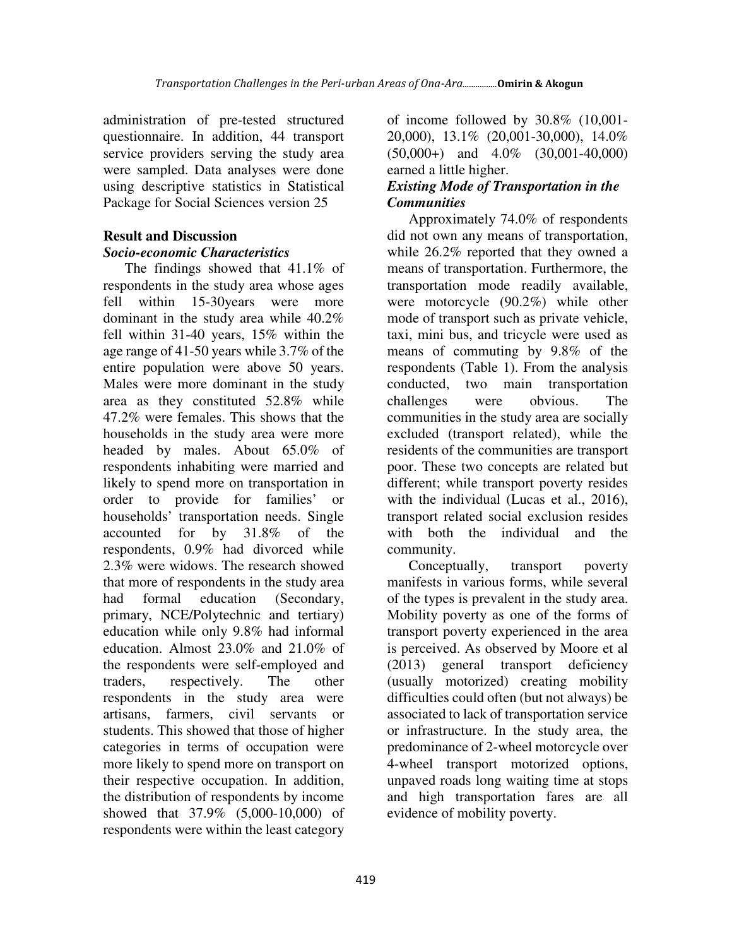administration of pre-tested structured questionnaire. In addition, 44 transport service providers serving the study area were sampled. Data analyses were done using descriptive statistics in Statistical Package for Social Sciences version 25

## **Result and Discussion**

### *Socio-economic Characteristics*

The findings showed that 41.1% of respondents in the study area whose ages fell within 15-30years were more dominant in the study area while 40.2% fell within 31-40 years, 15% within the age range of 41-50 years while 3.7% of the entire population were above 50 years. Males were more dominant in the study area as they constituted 52.8% while 47.2% were females. This shows that the households in the study area were more headed by males. About 65.0% of respondents inhabiting were married and likely to spend more on transportation in order to provide for families' or households' transportation needs. Single accounted for by 31.8% of the respondents, 0.9% had divorced while 2.3% were widows. The research showed that more of respondents in the study area had formal education (Secondary, primary, NCE/Polytechnic and tertiary) education while only 9.8% had informal education. Almost 23.0% and 21.0% of the respondents were self-employed and traders, respectively. The other respondents in the study area were artisans, farmers, civil servants or students. This showed that those of higher categories in terms of occupation were more likely to spend more on transport on their respective occupation. In addition, the distribution of respondents by income showed that 37.9% (5,000-10,000) of respondents were within the least category

of income followed by 30.8% (10,001- 20,000), 13.1% (20,001-30,000), 14.0% (50,000+) and 4.0% (30,001-40,000) earned a little higher.

### *Existing Mode of Transportation in the Communities*

Approximately 74.0% of respondents did not own any means of transportation, while 26.2% reported that they owned a means of transportation. Furthermore, the transportation mode readily available, were motorcycle (90.2%) while other mode of transport such as private vehicle, taxi, mini bus, and tricycle were used as means of commuting by 9.8% of the respondents (Table 1). From the analysis conducted, two main transportation challenges were obvious. The communities in the study area are socially excluded (transport related), while the residents of the communities are transport poor. These two concepts are related but different; while transport poverty resides with the individual (Lucas et al., 2016), transport related social exclusion resides with both the individual and the community.

Conceptually, transport poverty manifests in various forms, while several of the types is prevalent in the study area. Mobility poverty as one of the forms of transport poverty experienced in the area is perceived. As observed by Moore et al (2013) general transport deficiency (usually motorized) creating mobility difficulties could often (but not always) be associated to lack of transportation service or infrastructure. In the study area, the predominance of 2-wheel motorcycle over 4-wheel transport motorized options, unpaved roads long waiting time at stops and high transportation fares are all evidence of mobility poverty.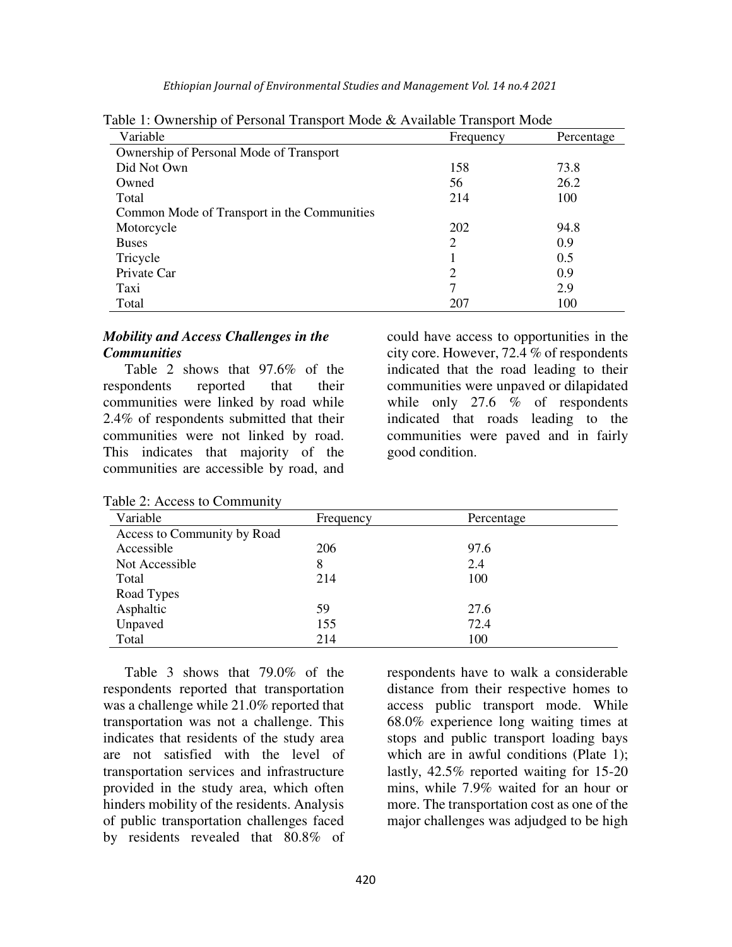*Ethiopian Journal of Environmental Studies and Management Vol. 14 no.4 2021* 

| Variable                                    | Frequency      | Percentage |
|---------------------------------------------|----------------|------------|
| Ownership of Personal Mode of Transport     |                |            |
| Did Not Own                                 | 158            | 73.8       |
| Owned                                       | 56             | 26.2       |
| Total                                       | 214            | 100        |
| Common Mode of Transport in the Communities |                |            |
| Motorcycle                                  | 202            | 94.8       |
| <b>Buses</b>                                | 2              | 0.9        |
| Tricycle                                    |                | 0.5        |
| Private Car                                 | $\overline{2}$ | 0.9        |
| Taxi                                        | 7              | 2.9        |
| Total                                       | 207            | 100        |

Table 1: Ownership of Personal Transport Mode & Available Transport Mode

### *Mobility and Access Challenges in the Communities*

Table 2 shows that 97.6% of the respondents reported that their communities were linked by road while 2.4% of respondents submitted that their communities were not linked by road. This indicates that majority of the communities are accessible by road, and

Table 2: Access to Community

could have access to opportunities in the city core. However, 72.4 % of respondents indicated that the road leading to their communities were unpaved or dilapidated while only 27.6  $%$  of respondents indicated that roads leading to the communities were paved and in fairly good condition.

| Variable                    | Frequency | Percentage |  |
|-----------------------------|-----------|------------|--|
| Access to Community by Road |           |            |  |
| Accessible                  | 206       | 97.6       |  |
| Not Accessible              | 8         | 2.4        |  |
| Total                       | 214       | 100        |  |
| Road Types                  |           |            |  |
| Asphaltic                   | 59        | 27.6       |  |
| Unpaved                     | 155       | 72.4       |  |
| Total                       | 214       | 100        |  |

Table 3 shows that 79.0% of the respondents reported that transportation was a challenge while 21.0% reported that transportation was not a challenge. This indicates that residents of the study area are not satisfied with the level of transportation services and infrastructure provided in the study area, which often hinders mobility of the residents. Analysis of public transportation challenges faced by residents revealed that 80.8% of

respondents have to walk a considerable distance from their respective homes to access public transport mode. While 68.0% experience long waiting times at stops and public transport loading bays which are in awful conditions (Plate 1); lastly, 42.5% reported waiting for 15-20 mins, while 7.9% waited for an hour or more. The transportation cost as one of the major challenges was adjudged to be high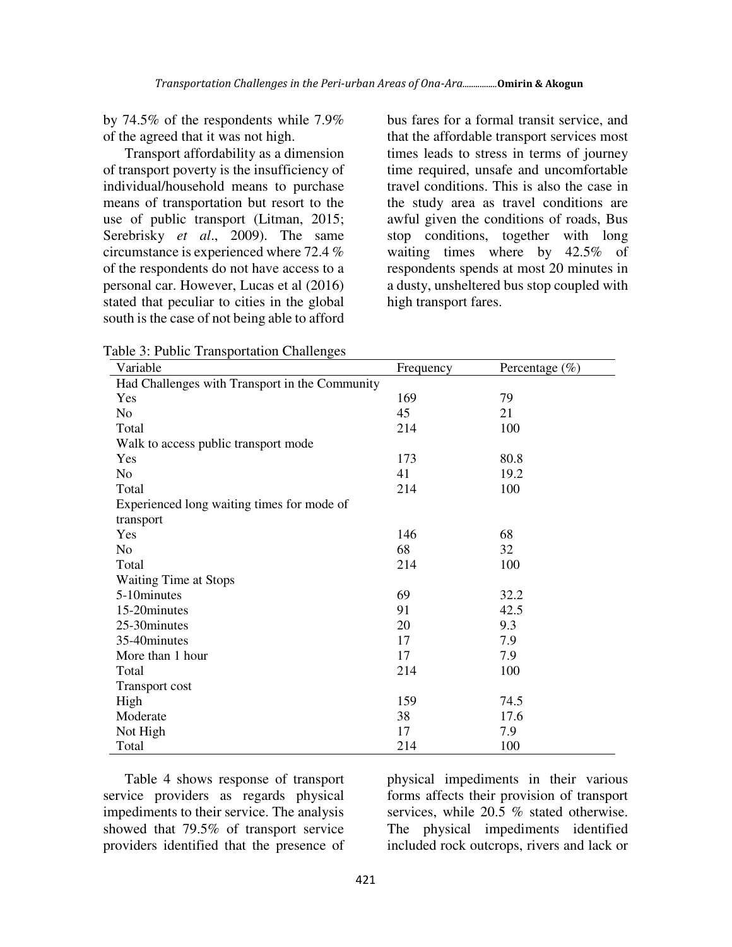by 74.5% of the respondents while 7.9% of the agreed that it was not high.

Transport affordability as a dimension of transport poverty is the insufficiency of individual/household means to purchase means of transportation but resort to the use of public transport (Litman, 2015; Serebrisky *et al*., 2009). The same circumstance is experienced where 72.4 % of the respondents do not have access to a personal car. However, Lucas et al (2016) stated that peculiar to cities in the global south is the case of not being able to afford

bus fares for a formal transit service, and that the affordable transport services most times leads to stress in terms of journey time required, unsafe and uncomfortable travel conditions. This is also the case in the study area as travel conditions are awful given the conditions of roads, Bus stop conditions, together with long waiting times where by 42.5% of respondents spends at most 20 minutes in a dusty, unsheltered bus stop coupled with high transport fares.

| Table 3: Public Transportation Challenges      |           |                   |
|------------------------------------------------|-----------|-------------------|
| Variable                                       | Frequency | Percentage $(\%)$ |
| Had Challenges with Transport in the Community |           |                   |
| Yes                                            | 169       | 79                |
| No.                                            | 45        | 21                |
| Total                                          | 214       | 100               |
| Walk to access public transport mode           |           |                   |
| Yes                                            | 173       | 80.8              |
| N <sub>o</sub>                                 | 41        | 19.2              |
| Total                                          | 214       | 100               |
| Experienced long waiting times for mode of     |           |                   |
| transport                                      |           |                   |
| Yes                                            | 146       | 68                |
| N <sub>o</sub>                                 | 68        | 32                |
| Total                                          | 214       | 100               |
| <b>Waiting Time at Stops</b>                   |           |                   |
| 5-10minutes                                    | 69        | 32.2              |
| 15-20minutes                                   | 91        | 42.5              |
| 25-30 minutes                                  | 20        | 9.3               |
| 35-40minutes                                   | 17        | 7.9               |
| More than 1 hour                               | 17        | 7.9               |
| Total                                          | 214       | 100               |
| <b>Transport cost</b>                          |           |                   |
| High                                           | 159       | 74.5              |
| Moderate                                       | 38        | 17.6              |
| Not High                                       | 17        | 7.9               |
| Total                                          | 214       | 100               |

Table 4 shows response of transport service providers as regards physical impediments to their service. The analysis showed that 79.5% of transport service providers identified that the presence of

physical impediments in their various forms affects their provision of transport services, while 20.5 % stated otherwise. The physical impediments identified included rock outcrops, rivers and lack or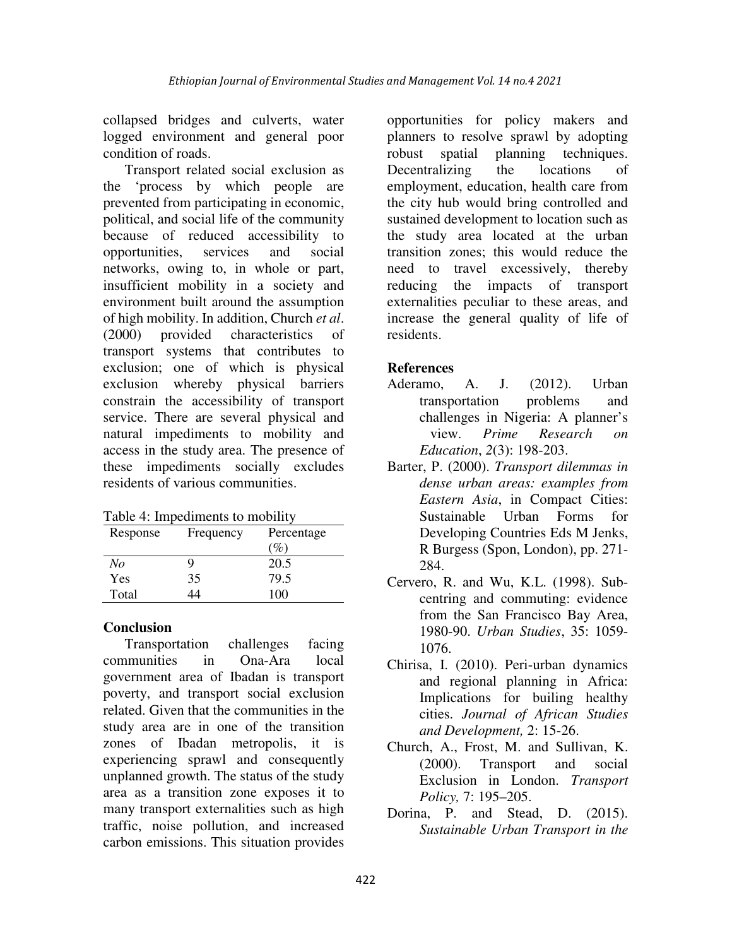collapsed bridges and culverts, water logged environment and general poor condition of roads.

Transport related social exclusion as the 'process by which people are prevented from participating in economic, political, and social life of the community because of reduced accessibility to opportunities, services and social networks, owing to, in whole or part, insufficient mobility in a society and environment built around the assumption of high mobility. In addition, Church *et al*. (2000) provided characteristics of transport systems that contributes to exclusion; one of which is physical exclusion whereby physical barriers constrain the accessibility of transport service. There are several physical and natural impediments to mobility and access in the study area. The presence of these impediments socially excludes residents of various communities.

Table 4: Impediments to mobility

| Response | Frequency | Percentage      |
|----------|-----------|-----------------|
|          |           | $\mathcal{C}_o$ |
| No       |           | 20.5            |
| Yes      | 35        | 79.5            |
| Total    | L4        | 100             |

# **Conclusion**

Transportation challenges facing communities in Ona-Ara local government area of Ibadan is transport poverty, and transport social exclusion related. Given that the communities in the study area are in one of the transition zones of Ibadan metropolis, it is experiencing sprawl and consequently unplanned growth. The status of the study area as a transition zone exposes it to many transport externalities such as high traffic, noise pollution, and increased carbon emissions. This situation provides

opportunities for policy makers and planners to resolve sprawl by adopting robust spatial planning techniques. Decentralizing the locations of employment, education, health care from the city hub would bring controlled and sustained development to location such as the study area located at the urban transition zones; this would reduce the need to travel excessively, thereby reducing the impacts of transport externalities peculiar to these areas, and increase the general quality of life of residents.

### **References**

- Aderamo, A. J. (2012). Urban transportation problems and challenges in Nigeria: A planner's view. *Prime Research on Education*, *2*(3): 198-203.
- Barter, P. (2000). *Transport dilemmas in dense urban areas: examples from Eastern Asia*, in Compact Cities: Sustainable Urban Forms for Developing Countries Eds M Jenks, R Burgess (Spon, London), pp. 271- 284.
- Cervero, R. and Wu, K.L. (1998). Subcentring and commuting: evidence from the San Francisco Bay Area, 1980-90. *Urban Studies*, 35: 1059- 1076.
- Chirisa, I. (2010). Peri-urban dynamics and regional planning in Africa: Implications for builing healthy cities. *Journal of African Studies and Development,* 2: 15-26.
- Church, A., Frost, M. and Sullivan, K. (2000). Transport and social Exclusion in London. *Transport Policy,* 7: 195–205.
- Dorina, P. and Stead, D. (2015). *Sustainable Urban Transport in the*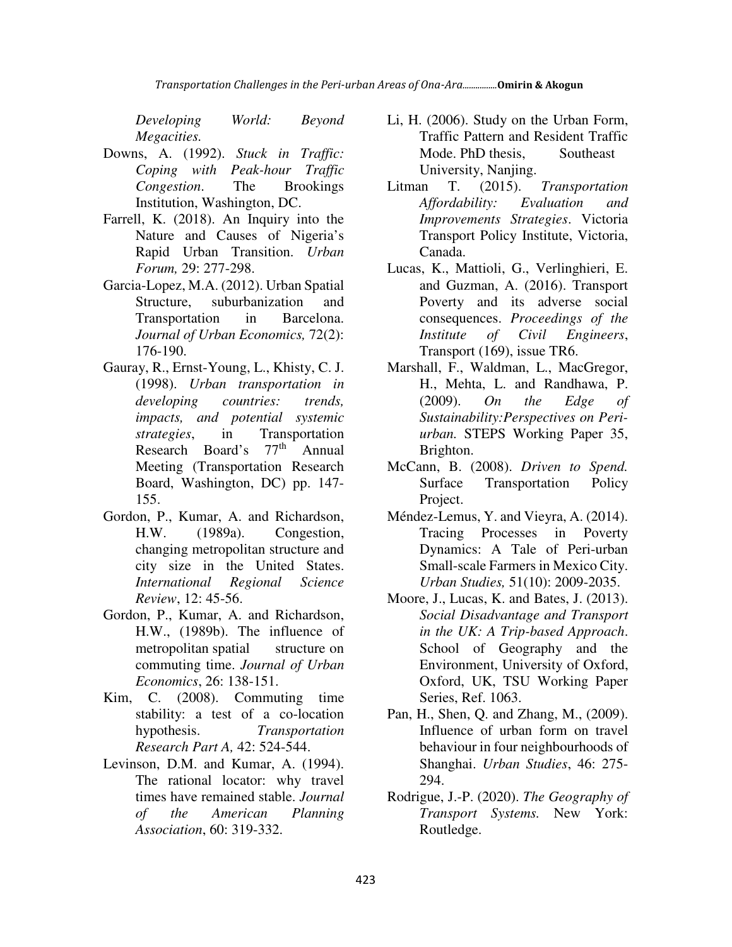*Developing World: Beyond Megacities.* 

- Downs, A. (1992). *Stuck in Traffic: Coping with Peak-hour Traffic Congestion*. The Brookings Institution, Washington, DC.
- Farrell, K. (2018). An Inquiry into the Nature and Causes of Nigeria's Rapid Urban Transition. *Urban Forum,* 29: 277-298.
- Garcia-Lopez, M.A. (2012). Urban Spatial Structure, suburbanization and Transportation in Barcelona. *Journal of Urban Economics,* 72(2): 176-190.
- Gauray, R., Ernst-Young, L., Khisty, C. J. (1998). *Urban transportation in developing countries: trends, impacts, and potential systemic strategies*, in Transportation Research Board's 77<sup>th</sup> Annual Meeting (Transportation Research Board, Washington, DC) pp. 147- 155.
- Gordon, P., Kumar, A. and Richardson, H.W. (1989a). Congestion, changing metropolitan structure and city size in the United States. *International Regional Science Review*, 12: 45-56.
- Gordon, P., Kumar, A. and Richardson, H.W., (1989b). The influence of metropolitan spatial structure on commuting time. *Journal of Urban Economics*, 26: 138-151.
- Kim, C. (2008). Commuting time stability: a test of a co-location hypothesis. *Transportation Research Part A,* 42: 524-544.
- Levinson, D.M. and Kumar, A. (1994). The rational locator: why travel times have remained stable. *Journal of the American Planning Association*, 60: 319-332.
- Li, H. (2006). Study on the Urban Form, Traffic Pattern and Resident Traffic Mode. PhD thesis, Southeast University, Nanjing.
- Litman T. (2015). *Transportation Affordability: Evaluation and Improvements Strategies*. Victoria Transport Policy Institute, Victoria, Canada.
- Lucas, K., Mattioli, G., Verlinghieri, E. and Guzman, A. (2016). Transport Poverty and its adverse social consequences. *Proceedings of the Institute of Civil Engineers*, Transport (169), issue TR6.
- Marshall, F., Waldman, L., MacGregor, H., Mehta, L. and Randhawa, P. (2009). *On the Edge of Sustainability:Perspectives on Periurban.* STEPS Working Paper 35, Brighton.
- McCann, B. (2008). *Driven to Spend.* Surface Transportation Policy Project.
- Méndez-Lemus, Y. and Vieyra, A. (2014). Tracing Processes in Poverty Dynamics: A Tale of Peri-urban Small-scale Farmers in Mexico City. *Urban Studies,* 51(10): 2009-2035.
- Moore, J., Lucas, K. and Bates, J. (2013). *Social Disadvantage and Transport in the UK: A Trip-based Approach*. School of Geography and the Environment, University of Oxford, Oxford, UK, TSU Working Paper Series, Ref. 1063.
- Pan, H., Shen, Q. and Zhang, M., (2009). Influence of urban form on travel behaviour in four neighbourhoods of Shanghai. *Urban Studies*, 46: 275- 294.
- Rodrigue, J.-P. (2020). *The Geography of Transport Systems.* New York: Routledge.